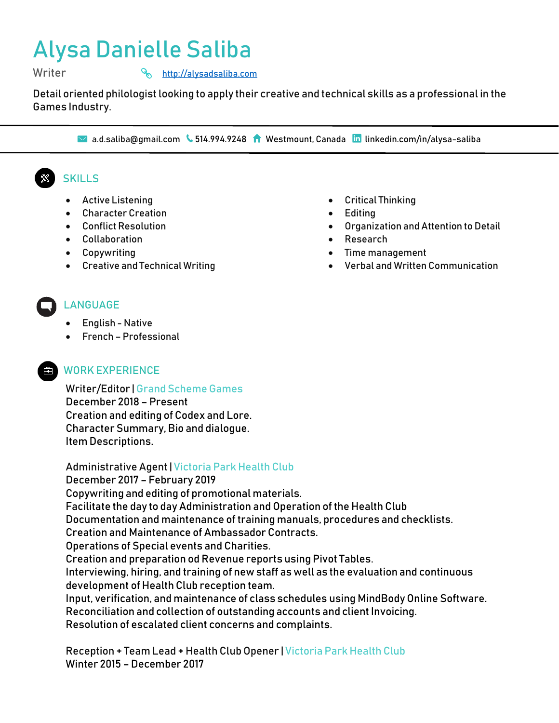# Alysa Danielle Saliba

Writer **Music Community** Music Music Music Music Music Music Music Music Music Music Music Music Music Music Music Music Music Music Music Music Music Music Music Music Music Music Music Music Music Music Music Music Music

Detail oriented philologist looking to apply their creative and technical skills as a professional in the Games Industry.

■ a.d.saliba@gmail.com ↓ 514.994.9248 ● Westmount, Canada **in** linkedin.com/in/alysa-saliba

## **SKILLS**

- Active Listening
- Character Creation
- Conflict Resolution
- Collaboration
- Copywriting
- Creative and Technical Writing
- Critical Thinking
- Editing
- Organization and Attention to Detail
- Research
- Time management
- Verbal and Written Communication

## LANGUAGE

- English Native
- French Professional

### **EN WORK EXPERIENCE**

Writer/Editor |Grand Scheme Games December 2018 – Present Creation and editing of Codex and Lore. Character Summary, Bio and dialogue. Item Descriptions.

Administrative Agent | Victoria Park Health Club December 2017 – February 2019 Copywriting and editing of promotional materials. Facilitate the day to day Administration and Operation of the Health Club Documentation and maintenance of training manuals, procedures and checklists. Creation and Maintenance of Ambassador Contracts. Operations of Special events and Charities. Creation and preparation od Revenue reports using Pivot Tables. Interviewing, hiring, and training of new staff as well as the evaluation and continuous development of Health Club reception team. Input, verification, and maintenance of class schedules using MindBody Online Software. Reconciliation and collection of outstanding accounts and client Invoicing. Resolution of escalated client concerns and complaints.

Reception + Team Lead + Health Club Opener | Victoria Park Health Club Winter 2015 – December 2017